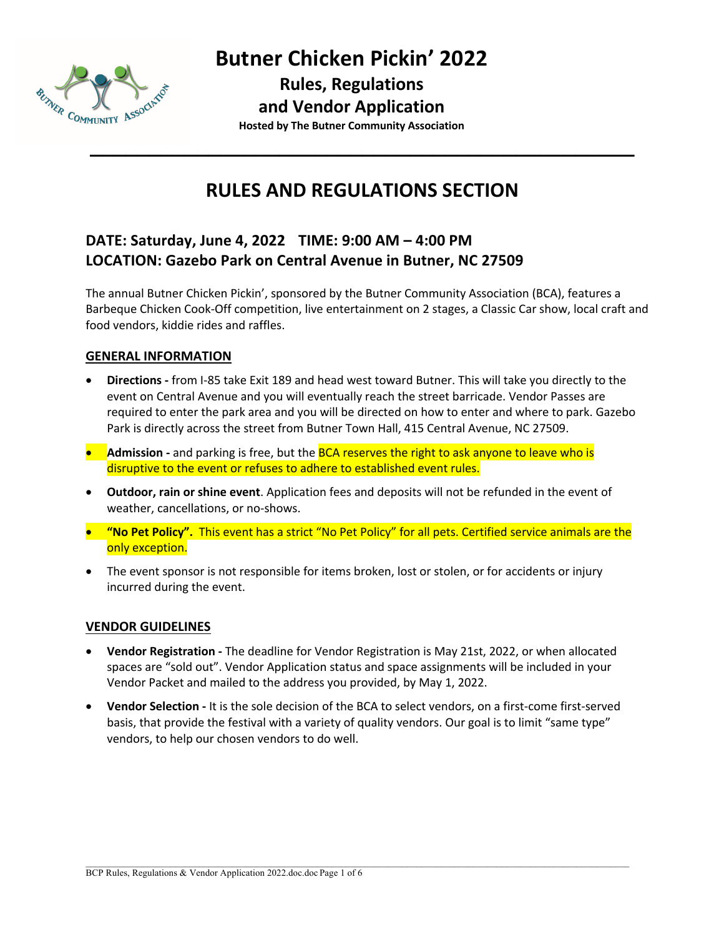

**Rules, Regulations**

#### **and Vendor Application**

**Hosted by The Butner Community Association**

## **RULES AND REGULATIONS SECTION**

**\_\_\_\_\_\_\_\_\_\_\_\_\_\_\_\_\_\_\_\_\_\_\_\_\_\_\_\_\_\_\_\_\_\_\_\_\_\_\_\_\_\_\_\_\_\_**

### **DATE: Saturday, June 4, 2022 TIME: 9:00 AM – 4:00 PM LOCATION: Gazebo Park on Central Avenue in Butner, NC 27509**

The annual Butner Chicken Pickin', sponsored by the Butner Community Association (BCA), features a Barbeque Chicken Cook-Off competition, live entertainment on 2 stages, a Classic Car show, local craft and food vendors, kiddie rides and raffles.

#### **GENERAL INFORMATION**

- **Directions -** from I-85 take Exit 189 and head west toward Butner. This will take you directly to the event on Central Avenue and you will eventually reach the street barricade. Vendor Passes are required to enter the park area and you will be directed on how to enter and where to park. Gazebo Park is directly across the street from Butner Town Hall, 415 Central Avenue, NC 27509.
- **•** Admission and parking is free, but the BCA reserves the right to ask anyone to leave who is disruptive to the event or refuses to adhere to established event rules.
- **Outdoor, rain or shine event**. Application fees and deposits will not be refunded in the event of weather, cancellations, or no-shows.
- **"No Pet Policy".** This event has a strict "No Pet Policy" for all pets. Certified service animals are the only exception.
- The event sponsor is not responsible for items broken, lost or stolen, or for accidents or injury incurred during the event.

#### **VENDOR GUIDELINES**

- **Vendor Registration -** The deadline for Vendor Registration is May 21st, 2022, or when allocated spaces are "sold out". Vendor Application status and space assignments will be included in your Vendor Packet and mailed to the address you provided, by May 1, 2022.
- **Vendor Selection -** It is the sole decision of the BCA to select vendors, on a first-come first-served basis, that provide the festival with a variety of quality vendors. Our goal is to limit "same type" vendors, to help our chosen vendors to do well.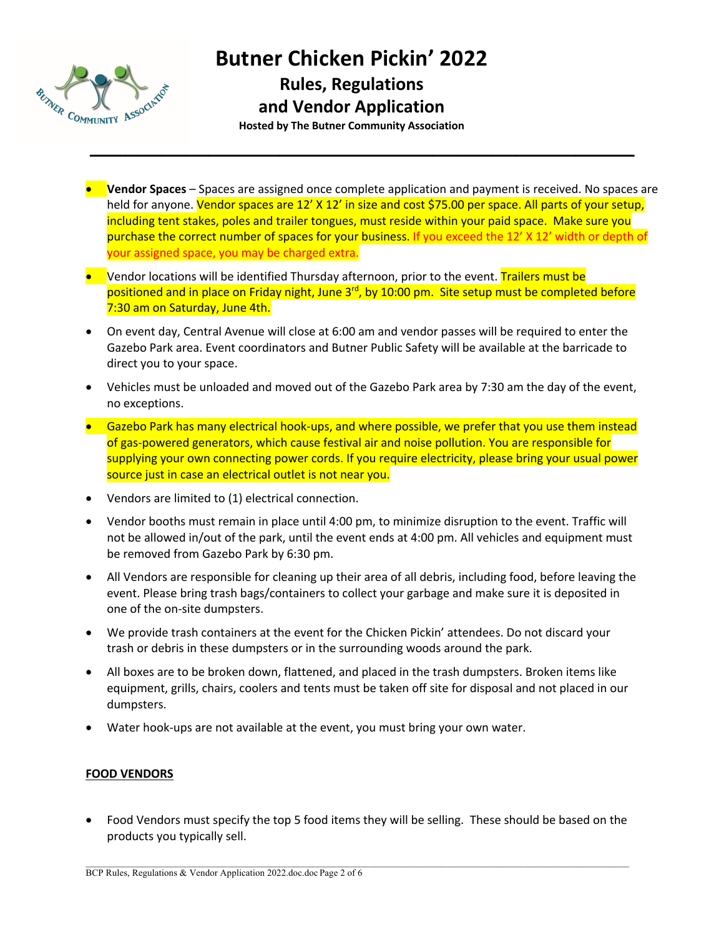

**Rules, Regulations**

**and Vendor Application** 

**Hosted by The Butner Community Association**

**\_\_\_\_\_\_\_\_\_\_\_\_\_\_\_\_\_\_\_\_\_\_\_\_\_\_\_\_\_\_\_\_\_\_\_\_\_\_\_\_\_\_\_\_\_\_**

- **Vendor Spaces** Spaces are assigned once complete application and payment is received. No spaces are held for anyone. Vendor spaces are 12' X 12' in size and cost \$75.00 per space. All parts of your setup, including tent stakes, poles and trailer tongues, must reside within your paid space. Make sure you purchase the correct number of spaces for your business. If you exceed the 12' X 12' width or depth of your assigned space, you may be charged extra.
- Vendor locations will be identified Thursday afternoon, prior to the event. Trailers must be positioned and in place on Friday night, June 3<sup>rd</sup>, by 10:00 pm. Site setup must be completed before 7:30 am on Saturday, June 4th.
- On event day, Central Avenue will close at 6:00 am and vendor passes will be required to enter the Gazebo Park area. Event coordinators and Butner Public Safety will be available at the barricade to direct you to your space.
- Vehicles must be unloaded and moved out of the Gazebo Park area by 7:30 am the day of the event, no exceptions.
- Gazebo Park has many electrical hook-ups, and where possible, we prefer that you use them instead of gas-powered generators, which cause festival air and noise pollution. You are responsible for supplying your own connecting power cords. If you require electricity, please bring your usual power source just in case an electrical outlet is not near you.
- Vendors are limited to (1) electrical connection.
- Vendor booths must remain in place until 4:00 pm, to minimize disruption to the event. Traffic will not be allowed in/out of the park, until the event ends at 4:00 pm. All vehicles and equipment must be removed from Gazebo Park by 6:30 pm.
- All Vendors are responsible for cleaning up their area of all debris, including food, before leaving the event. Please bring trash bags/containers to collect your garbage and make sure it is deposited in one of the on-site dumpsters.
- We provide trash containers at the event for the Chicken Pickin' attendees. Do not discard your trash or debris in these dumpsters or in the surrounding woods around the park.
- All boxes are to be broken down, flattened, and placed in the trash dumpsters. Broken items like equipment, grills, chairs, coolers and tents must be taken off site for disposal and not placed in our dumpsters.
- Water hook-ups are not available at the event, you must bring your own water.

#### **FOOD VENDORS**

• Food Vendors must specify the top 5 food items they will be selling. These should be based on the products you typically sell.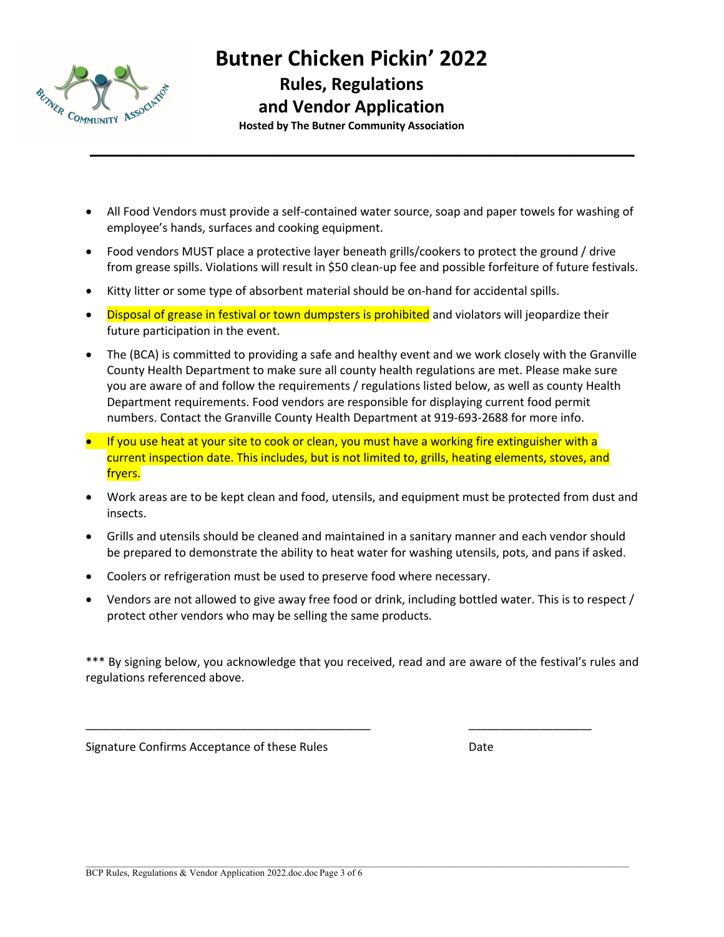

**Rules, Regulations**

#### **and Vendor Application**

**Hosted by The Butner Community Association**

**\_\_\_\_\_\_\_\_\_\_\_\_\_\_\_\_\_\_\_\_\_\_\_\_\_\_\_\_\_\_\_\_\_\_\_\_\_\_\_\_\_\_\_\_\_\_**

- All Food Vendors must provide a self-contained water source, soap and paper towels for washing of employee's hands, surfaces and cooking equipment.
- Food vendors MUST place a protective layer beneath grills/cookers to protect the ground / drive from grease spills. Violations will result in \$50 clean-up fee and possible forfeiture of future festivals.
- Kitty litter or some type of absorbent material should be on-hand for accidental spills.
- Disposal of grease in festival or town dumpsters is prohibited and violators will jeopardize their future participation in the event.
- The (BCA) is committed to providing a safe and healthy event and we work closely with the Granville County Health Department to make sure all county health regulations are met. Please make sure you are aware of and follow the requirements / regulations listed below, as well as county Health Department requirements. Food vendors are responsible for displaying current food permit numbers. Contact the Granville County Health Department at 919-693-2688 for more info.
- If you use heat at your site to cook or clean, you must have a working fire extinguisher with a current inspection date. This includes, but is not limited to, grills, heating elements, stoves, and fryers.
- Work areas are to be kept clean and food, utensils, and equipment must be protected from dust and insects.
- Grills and utensils should be cleaned and maintained in a sanitary manner and each vendor should be prepared to demonstrate the ability to heat water for washing utensils, pots, and pans if asked.
- Coolers or refrigeration must be used to preserve food where necessary.
- Vendors are not allowed to give away free food or drink, including bottled water. This is to respect / protect other vendors who may be selling the same products.

\*\*\* By signing below, you acknowledge that you received, read and are aware of the festival's rules and regulations referenced above.

\_\_\_\_\_\_\_\_\_\_\_\_\_\_\_\_\_\_\_\_\_\_\_\_\_\_\_\_\_\_\_\_\_\_\_\_\_\_\_\_\_\_\_\_ \_\_\_\_\_\_\_\_\_\_\_\_\_\_\_\_\_\_\_

Signature Confirms Acceptance of these Rules Date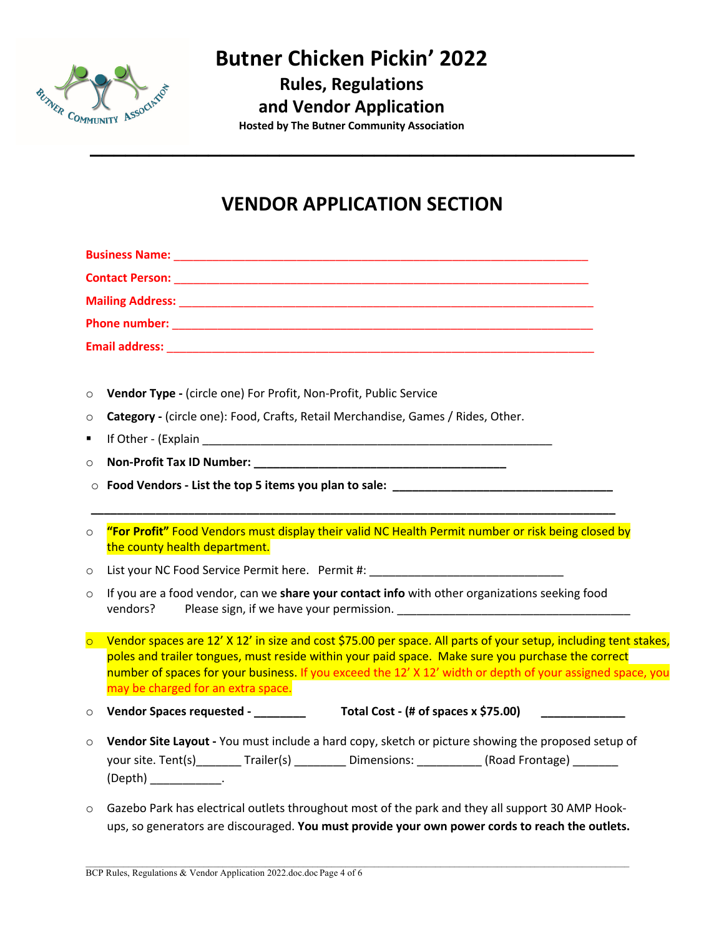

**Rules, Regulations**

### **and Vendor Application**

**Hosted by The Butner Community Association**

## **VENDOR APPLICATION SECTION**

**\_\_\_\_\_\_\_\_\_\_\_\_\_\_\_\_\_\_\_\_\_\_\_\_\_\_\_\_\_\_\_\_\_\_\_\_\_\_\_\_\_\_\_\_\_\_**

| <b>Phone number: the contract of the contract of the contract of the contract of the contract of the contract of the contract of the contract of the contract of the contract of the contract of the contract of the contract of</b><br>Vendor Type - (circle one) For Profit, Non-Profit, Public Service<br>$\circ$<br>Category - (circle one): Food, Crafts, Retail Merchandise, Games / Rides, Other.<br>$\circ$<br>٠<br>$\circ$<br>Food Vendors - List the top 5 items you plan to sale: ___________________________<br>$\circ$ |  |
|-------------------------------------------------------------------------------------------------------------------------------------------------------------------------------------------------------------------------------------------------------------------------------------------------------------------------------------------------------------------------------------------------------------------------------------------------------------------------------------------------------------------------------------|--|
|                                                                                                                                                                                                                                                                                                                                                                                                                                                                                                                                     |  |
|                                                                                                                                                                                                                                                                                                                                                                                                                                                                                                                                     |  |
|                                                                                                                                                                                                                                                                                                                                                                                                                                                                                                                                     |  |
|                                                                                                                                                                                                                                                                                                                                                                                                                                                                                                                                     |  |
|                                                                                                                                                                                                                                                                                                                                                                                                                                                                                                                                     |  |
|                                                                                                                                                                                                                                                                                                                                                                                                                                                                                                                                     |  |
|                                                                                                                                                                                                                                                                                                                                                                                                                                                                                                                                     |  |
|                                                                                                                                                                                                                                                                                                                                                                                                                                                                                                                                     |  |
|                                                                                                                                                                                                                                                                                                                                                                                                                                                                                                                                     |  |
|                                                                                                                                                                                                                                                                                                                                                                                                                                                                                                                                     |  |
|                                                                                                                                                                                                                                                                                                                                                                                                                                                                                                                                     |  |
| "For Profit" Food Vendors must display their valid NC Health Permit number or risk being closed by<br>$\circ$<br>the county health department.                                                                                                                                                                                                                                                                                                                                                                                      |  |
| List your NC Food Service Permit here. Permit #: Latter and the service of the service of the service of the s<br>$\circ$                                                                                                                                                                                                                                                                                                                                                                                                           |  |
| If you are a food vendor, can we share your contact info with other organizations seeking food<br>$\circ$<br>vendors?                                                                                                                                                                                                                                                                                                                                                                                                               |  |
| Vendor spaces are 12' X 12' in size and cost \$75.00 per space. All parts of your setup, including tent stakes,<br>$\overline{\circ}$<br>poles and trailer tongues, must reside within your paid space. Make sure you purchase the correct<br>number of spaces for your business. If you exceed the 12' X 12' width or depth of your assigned space, you<br>may be charged for an extra space.                                                                                                                                      |  |
| Vendor Spaces requested - _______<br>Total Cost - (# of spaces x \$75.00) $\qquad \qquad$<br>$\circ$                                                                                                                                                                                                                                                                                                                                                                                                                                |  |
| Vendor Site Layout - You must include a hard copy, sketch or picture showing the proposed setup of<br>$\circ$<br>your site. Tent(s)________ Trailer(s) _________ Dimensions: __________ (Road Frontage) _______<br>$(Depth)$ _____________.                                                                                                                                                                                                                                                                                         |  |

o Gazebo Park has electrical outlets throughout most of the park and they all support 30 AMP Hookups, so generators are discouraged. **You must provide your own power cords to reach the outlets.**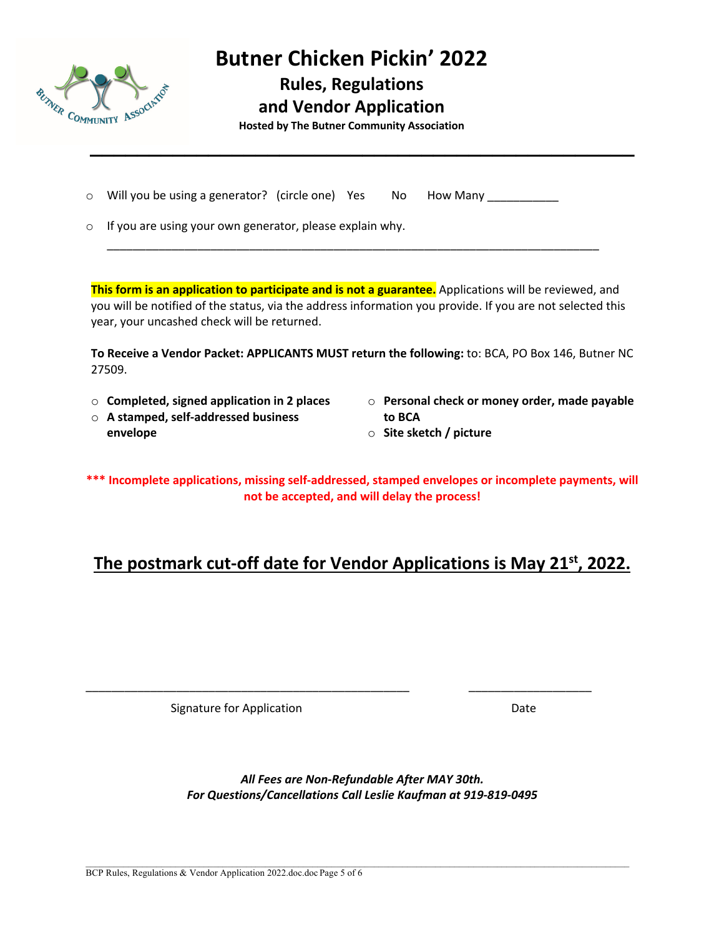

**Rules, Regulations**

**and Vendor Application** 

**\_\_\_\_\_\_\_\_\_\_\_\_\_\_\_\_\_\_\_\_\_\_\_\_\_\_\_\_\_\_\_\_\_\_\_\_\_\_\_\_\_\_\_\_\_\_**

**Hosted by The Butner Community Association**

- o Will you be using a generator? (circle one) Yes No How Many
- o If you are using your own generator, please explain why.

**This form is an application to participate and is not a guarantee.** Applications will be reviewed, and you will be notified of the status, via the address information you provide. If you are not selected this year, your uncashed check will be returned.

\_\_\_\_\_\_\_\_\_\_\_\_\_\_\_\_\_\_\_\_\_\_\_\_\_\_\_\_\_\_\_\_\_\_\_\_\_\_\_\_\_\_\_\_\_\_\_\_\_\_\_\_\_\_\_\_\_\_\_\_\_\_\_\_\_\_\_\_\_\_\_\_\_\_\_\_

**To Receive a Vendor Packet: APPLICANTS MUST return the following:** to: BCA, PO Box 146, Butner NC 27509.

- o **Completed, signed application in 2 places**
- o **A stamped, self-addressed business envelope**
- o **Personal check or money order, made payable to BCA**
- o **Site sketch / picture**

**\*\*\* Incomplete applications, missing self-addressed, stamped envelopes or incomplete payments, will not be accepted, and will delay the process!**

## **The postmark cut-off date for Vendor Applications is May 21st, 2022.**

Signature for Application **Date** 

*All Fees are Non-Refundable After MAY 30th. For Questions/Cancellations Call Leslie Kaufman at 919-819-0495*

\_\_\_\_\_\_\_\_\_\_\_\_\_\_\_\_\_\_\_\_\_\_\_\_\_\_\_\_\_\_\_\_\_\_\_\_\_\_\_\_\_\_\_\_\_\_\_\_\_\_ \_\_\_\_\_\_\_\_\_\_\_\_\_\_\_\_\_\_\_